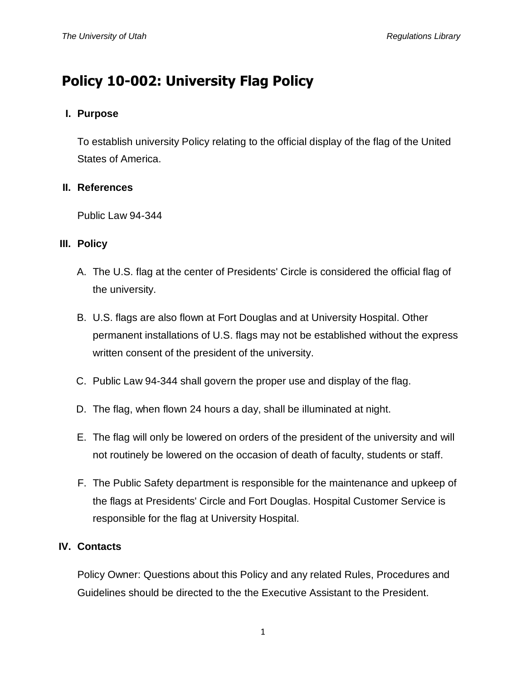# **Policy 10-002: University Flag Policy**

# **I. Purpose**

To establish university Policy relating to the official display of the flag of the United States of America.

## **II. References**

Public Law 94-344

## **III. Policy**

- A. The U.S. flag at the center of Presidents' Circle is considered the official flag of the university.
- B. U.S. flags are also flown at Fort Douglas and at University Hospital. Other permanent installations of U.S. flags may not be established without the express written consent of the president of the university.
- C. Public Law 94-344 shall govern the proper use and display of the flag.
- D. The flag, when flown 24 hours a day, shall be illuminated at night.
- E. The flag will only be lowered on orders of the president of the university and will not routinely be lowered on the occasion of death of faculty, students or staff.
- F. The Public Safety department is responsible for the maintenance and upkeep of the flags at Presidents' Circle and Fort Douglas. Hospital Customer Service is responsible for the flag at University Hospital.

## **IV. Contacts**

Policy Owner: Questions about this Policy and any related Rules, Procedures and Guidelines should be directed to the the Executive Assistant to the President.